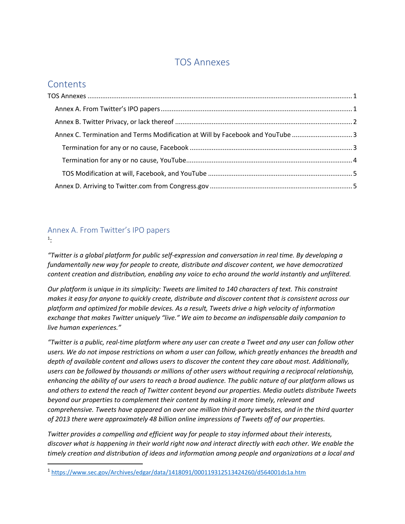## TOS Annexes

# <span id="page-0-0"></span>**Contents**

| Annex C. Termination and Terms Modification at Will by Facebook and YouTube 3 |  |
|-------------------------------------------------------------------------------|--|
|                                                                               |  |
|                                                                               |  |
|                                                                               |  |
|                                                                               |  |

### <span id="page-0-1"></span>Annex A. From Twitter's IPO papers 1 :

*"Twitter is a global platform for public self-expression and conversation in real time. By developing a fundamentally new way for people to create, distribute and discover content, we have democratized content creation and distribution, enabling any voice to echo around the world instantly and unfiltered.*

*Our platform is unique in its simplicity: Tweets are limited to 140 characters of text. This constraint makes it easy for anyone to quickly create, distribute and discover content that is consistent across our platform and optimized for mobile devices. As a result, Tweets drive a high velocity of information exchange that makes Twitter uniquely "live." We aim to become an indispensable daily companion to live human experiences."*

*"Twitter is a public, real-time platform where any user can create a Tweet and any user can follow other users. We do not impose restrictions on whom a user can follow, which greatly enhances the breadth and depth of available content and allows users to discover the content they care about most. Additionally, users can be followed by thousands or millions of other users without requiring a reciprocal relationship, enhancing the ability of our users to reach a broad audience. The public nature of our platform allows us and others to extend the reach of Twitter content beyond our properties. Media outlets distribute Tweets beyond our properties to complement their content by making it more timely, relevant and comprehensive. Tweets have appeared on over one million third-party websites, and in the third quarter of 2013 there were approximately 48 billion online impressions of Tweets off of our properties.*

*Twitter provides a compelling and efficient way for people to stay informed about their interests, discover what is happening in their world right now and interact directly with each other. We enable the timely creation and distribution of ideas and information among people and organizations at a local and* 

<sup>1</sup> <https://www.sec.gov/Archives/edgar/data/1418091/000119312513424260/d564001ds1a.htm>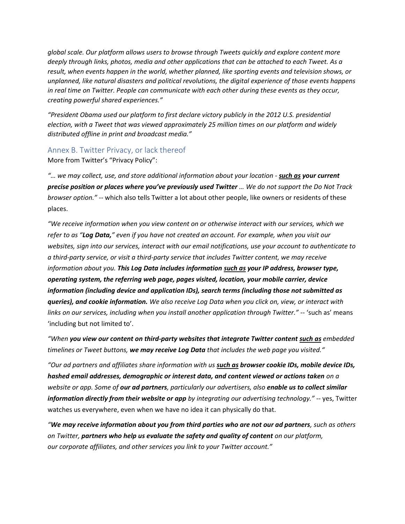*global scale. Our platform allows users to browse through Tweets quickly and explore content more deeply through links, photos, media and other applications that can be attached to each Tweet. As a result, when events happen in the world, whether planned, like sporting events and television shows, or unplanned, like natural disasters and political revolutions, the digital experience of those events happens in real time on Twitter. People can communicate with each other during these events as they occur, creating powerful shared experiences."*

*"President Obama used our platform to first declare victory publicly in the 2012 U.S. presidential election, with a Tweet that was viewed approximately 25 million times on our platform and widely distributed offline in print and broadcast media."*

#### <span id="page-1-0"></span>Annex B. Twitter Privacy, or lack thereof

More from Twitter's "Privacy Policy":

*"… we may collect, use, and store additional information about your location - such as your current precise position or places where you've previously used Twitter … We do not support the Do Not Track browser option."* -- which also tells Twitter a lot about other people, like owners or residents of these places.

*"We receive information when you view content on or otherwise interact with our services, which we refer to as "Log Data," even if you have not created an account. For example, when you visit our websites, sign into our services, interact with our email notifications, use your account to authenticate to a third-party service, or visit a third-party service that includes Twitter content, we may receive information about you. This Log Data includes information such as your IP address, browser type, operating system, the referring web page, pages visited, location, your mobile carrier, device information (including device and application IDs), search terms (including those not submitted as queries), and cookie information. We also receive Log Data when you click on, view, or interact with links on our services, including when you install another application through Twitter."* -- 'such as' means 'including but not limited to'.

*"When you view our content on third-party websites that integrate Twitter content such as embedded timelines or Tweet buttons, we may receive Log Data that includes the web page you visited."* 

*"Our ad partners and affiliates share information with us such as browser cookie IDs, mobile device IDs, hashed email addresses, demographic or interest data, and content viewed or actions taken on a website or app. Some of our ad partners, particularly our advertisers, also enable us to collect similar information directly from their website or app by integrating our advertising technology."* -- yes, Twitter watches us everywhere, even when we have no idea it can physically do that.

*"We may receive information about you from third parties who are not our ad partners, such as others on Twitter, partners who help us evaluate the safety and quality of content on our platform, our corporate affiliates, and other services you link to your Twitter account."*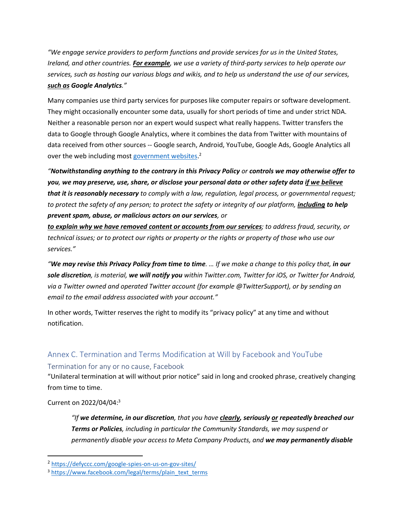*"We engage service providers to perform functions and provide services for us in the United States, Ireland, and other countries. For example, we use a variety of third-party services to help operate our services, such as hosting our various blogs and wikis, and to help us understand the use of our services, such as Google Analytics."* 

Many companies use third party services for purposes like computer repairs or software development. They might occasionally encounter some data, usually for short periods of time and under strict NDA. Neither a reasonable person nor an expert would suspect what really happens. Twitter transfers the data to Google through Google Analytics, where it combines the data from Twitter with mountains of data received from other sources -- Google search, Android, YouTube, Google Ads, Google Analytics all over the web including mos[t government websites.](https://defyccc.com/google-spies-on-us-on-gov-sites/)<sup>2</sup>

*"Notwithstanding anything to the contrary in this Privacy Policy or controls we may otherwise offer to you, we may preserve, use, share, or disclose your personal data or other safety data if we believe that it is reasonably necessary to comply with a law, regulation, legal process, or governmental request; to protect the safety of any person; to protect the safety or integrity of our platform, including to help prevent spam, abuse, or malicious actors on our services, or* 

*to explain why we have removed content or accounts from our services; to address fraud, security, or technical issues; or to protect our rights or property or the rights or property of those who use our services."* 

*"We may revise this Privacy Policy from time to time. … If we make a change to this policy that, in our sole discretion, is material, we will notify you within Twitter.com, Twitter for iOS, or Twitter for Android, via a Twitter owned and operated Twitter account (for example @TwitterSupport), or by sending an email to the email address associated with your account."*

In other words, Twitter reserves the right to modify its "privacy policy" at any time and without notification.

## <span id="page-2-1"></span><span id="page-2-0"></span>Annex C. Termination and Terms Modification at Will by Facebook and YouTube Termination for any or no cause, Facebook

"Unilateral termination at will without prior notice" said in long and crooked phrase, creatively changing from time to time.

#### Current on 2022/04/04:<sup>3</sup>

*"If we determine, in our discretion, that you have clearly, seriously or repeatedly breached our Terms or Policies, including in particular the Community Standards, we may suspend or permanently disable your access to Meta Company Products, and we may permanently disable* 

<sup>2</sup> <https://defyccc.com/google-spies-on-us-on-gov-sites/>

<sup>3</sup> [https://www.facebook.com/legal/terms/plain\\_text\\_terms](https://www.facebook.com/legal/terms/plain_text_terms)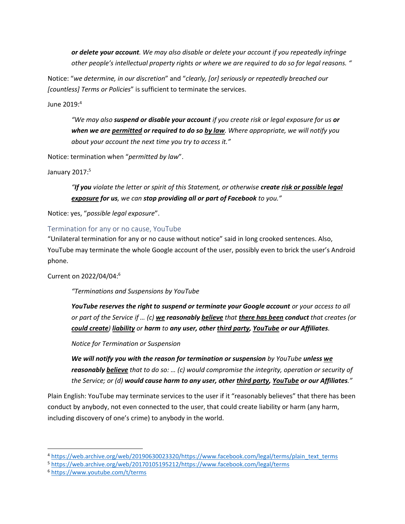*or delete your account. We may also disable or delete your account if you repeatedly infringe other people's intellectual property rights or where we are required to do so for legal reasons. "*

Notice: "*we determine, in our discretion*" and "*clearly, [or] seriously or repeatedly breached our [countless] Terms or Policies*" is sufficient to terminate the services.

June 2019:<sup>4</sup>

*"We may also suspend or disable your account if you create risk or legal exposure for us or when we are permitted or required to do so by law. Where appropriate, we will notify you about your account the next time you try to access it."*

Notice: termination when "*permitted by law*".

January 2017:<sup>5</sup>

*"If you violate the letter or spirit of this Statement, or otherwise create risk or possible legal exposure for us, we can stop providing all or part of Facebook to you."*

Notice: yes, "*possible legal exposure*".

#### <span id="page-3-0"></span>Termination for any or no cause, YouTube

"Unilateral termination for any or no cause without notice" said in long crooked sentences. Also, YouTube may terminate the whole Google account of the user, possibly even to brick the user's Android phone.

Current on 2022/04/04:<sup>6</sup>

*"Terminations and Suspensions by YouTube*

*YouTube reserves the right to suspend or terminate your Google account or your access to all or part of the Service if … (c) we reasonably believe that there has been conduct that creates (or could create) liability or harm to any user, other third party, YouTube or our Affiliates.*

*Notice for Termination or Suspension*

*We will notify you with the reason for termination or suspension by YouTube unless we reasonably believe that to do so: … (c) would compromise the integrity, operation or security of the Service; or (d) would cause harm to any user, other third party, YouTube or our Affiliates."*

Plain English: YouTube may terminate services to the user if it "reasonably believes" that there has been conduct by anybody, not even connected to the user, that could create liability or harm (any harm, including discovery of one's crime) to anybody in the world.

<sup>4</sup> [https://web.archive.org/web/20190630023320/https://www.facebook.com/legal/terms/plain\\_text\\_terms](https://web.archive.org/web/20190630023320/https:/www.facebook.com/legal/terms/plain_text_terms)

<sup>5</sup> [https://web.archive.org/web/20170105195212/https://www.facebook.com/legal/terms](https://web.archive.org/web/20170105195212/https:/www.facebook.com/legal/terms)

<sup>6</sup> <https://www.youtube.com/t/terms>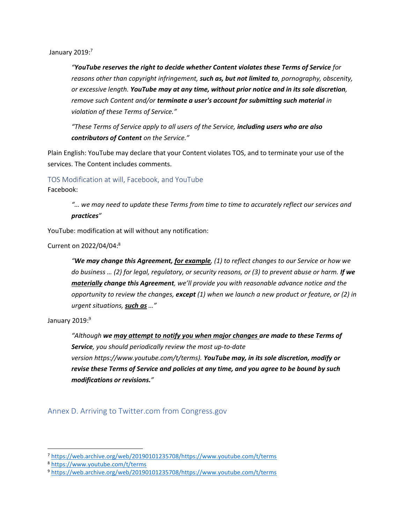January  $2019$ : $7$ 

*"YouTube reserves the right to decide whether Content violates these Terms of Service for reasons other than copyright infringement, such as, but not limited to, pornography, obscenity, or excessive length. YouTube may at any time, without prior notice and in its sole discretion, remove such Content and/or terminate a user's account for submitting such material in violation of these Terms of Service."*

*"These Terms of Service apply to all users of the Service, including users who are also contributors of Content on the Service."*

Plain English: YouTube may declare that your Content violates TOS, and to terminate your use of the services. The Content includes comments.

<span id="page-4-0"></span>TOS Modification at will, Facebook, and YouTube

Facebook:

*"… we may need to update these Terms from time to time to accurately reflect our services and practices"*

YouTube: modification at will without any notification:

Current on 2022/04/04:<sup>8</sup>

*"We may change this Agreement, for example, (1) to reflect changes to our Service or how we do business … (2) for legal, regulatory, or security reasons, or (3) to prevent abuse or harm. If we materially change this Agreement, we'll provide you with reasonable advance notice and the opportunity to review the changes, except (1) when we launch a new product or feature, or (2) in urgent situations, such as …"*

January 2019:9

*"Although we may attempt to notify you when major changes are made to these Terms of Service, you should periodically review the most up-to-date version https://www.youtube.com/t/terms). YouTube may, in its sole discretion, modify or revise these Terms of Service and policies at any time, and you agree to be bound by such modifications or revisions."*

<span id="page-4-1"></span>Annex D. Arriving to Twitter.com from Congress.gov

<sup>7</sup> [https://web.archive.org/web/20190101235708/https://www.youtube.com/t/terms](https://web.archive.org/web/20190101235708/https:/www.youtube.com/t/terms)

<sup>8</sup> <https://www.youtube.com/t/terms>

<sup>9</sup> [https://web.archive.org/web/20190101235708/https://www.youtube.com/t/terms](https://web.archive.org/web/20190101235708/https:/www.youtube.com/t/terms)